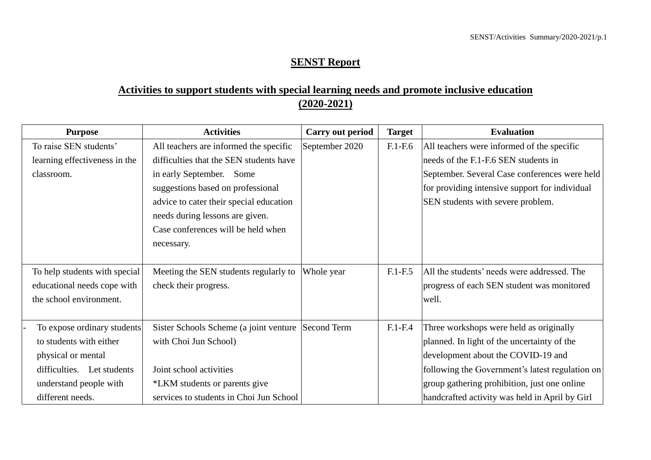## **SENST Report**

## **Activities to support students with special learning needs and promote inclusive education (2020-2021)**

| <b>Purpose</b>                | <b>Activities</b>                       | Carry out period   | <b>Target</b> | <b>Evaluation</b>                               |
|-------------------------------|-----------------------------------------|--------------------|---------------|-------------------------------------------------|
| To raise SEN students'        | All teachers are informed the specific  | September 2020     | $F.1-F.6$     | All teachers were informed of the specific      |
| learning effectiveness in the | difficulties that the SEN students have |                    |               | needs of the F.1-F.6 SEN students in            |
| classroom.                    | in early September. Some                |                    |               | September. Several Case conferences were held   |
|                               | suggestions based on professional       |                    |               | for providing intensive support for individual  |
|                               | advice to cater their special education |                    |               | SEN students with severe problem.               |
|                               | needs during lessons are given.         |                    |               |                                                 |
|                               | Case conferences will be held when      |                    |               |                                                 |
|                               | necessary.                              |                    |               |                                                 |
|                               |                                         |                    |               |                                                 |
| To help students with special | Meeting the SEN students regularly to   | Whole year         | $F.1-F.5$     | All the students' needs were addressed. The     |
| educational needs cope with   | check their progress.                   |                    |               | progress of each SEN student was monitored      |
| the school environment.       |                                         |                    |               | well.                                           |
|                               |                                         |                    |               |                                                 |
| To expose ordinary students   | Sister Schools Scheme (a joint venture  | <b>Second Term</b> | $F.1-F.4$     | Three workshops were held as originally         |
| to students with either       | with Choi Jun School)                   |                    |               | planned. In light of the uncertainty of the     |
| physical or mental            |                                         |                    |               | development about the COVID-19 and              |
| difficulties. Let students    | Joint school activities                 |                    |               | following the Government's latest regulation on |
| understand people with        | *LKM students or parents give           |                    |               | group gathering prohibition, just one online    |
| different needs.              | services to students in Choi Jun School |                    |               | handcrafted activity was held in April by Girl  |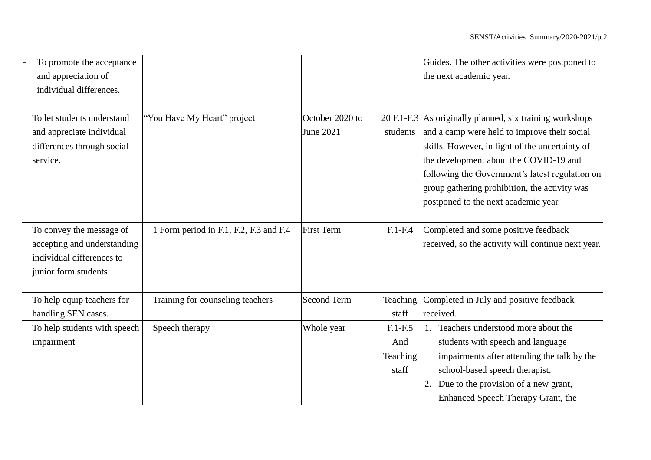| To promote the acceptance    |                                        |                    |           | Guides. The other activities were postponed to           |
|------------------------------|----------------------------------------|--------------------|-----------|----------------------------------------------------------|
| and appreciation of          |                                        |                    |           | the next academic year.                                  |
| individual differences.      |                                        |                    |           |                                                          |
|                              |                                        |                    |           |                                                          |
| To let students understand   | "You Have My Heart" project            | October 2020 to    |           | 20 F.1-F.3 As originally planned, six training workshops |
| and appreciate individual    |                                        | <b>June 2021</b>   | students  | and a camp were held to improve their social             |
| differences through social   |                                        |                    |           | skills. However, in light of the uncertainty of          |
| service.                     |                                        |                    |           | the development about the COVID-19 and                   |
|                              |                                        |                    |           | following the Government's latest regulation on          |
|                              |                                        |                    |           | group gathering prohibition, the activity was            |
|                              |                                        |                    |           | postponed to the next academic year.                     |
|                              |                                        |                    |           |                                                          |
| To convey the message of     | 1 Form period in F.1, F.2, F.3 and F.4 | <b>First Term</b>  | $F.1-F.4$ | Completed and some positive feedback                     |
| accepting and understanding  |                                        |                    |           | received, so the activity will continue next year.       |
| individual differences to    |                                        |                    |           |                                                          |
| junior form students.        |                                        |                    |           |                                                          |
|                              |                                        |                    |           |                                                          |
| To help equip teachers for   | Training for counseling teachers       | <b>Second Term</b> | Teaching  | Completed in July and positive feedback                  |
| handling SEN cases.          |                                        |                    | staff     | received.                                                |
| To help students with speech | Speech therapy                         | Whole year         | $F.1-F.5$ | 1. Teachers understood more about the                    |
| impairment                   |                                        |                    | And       | students with speech and language                        |
|                              |                                        |                    | Teaching  | impairments after attending the talk by the              |
|                              |                                        |                    | staff     | school-based speech therapist.                           |
|                              |                                        |                    |           | Due to the provision of a new grant,<br>2.               |
|                              |                                        |                    |           | Enhanced Speech Therapy Grant, the                       |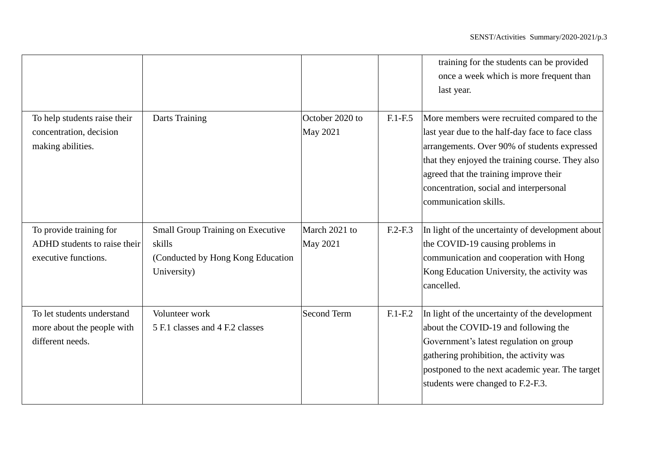|                                                                                 |                                                                                                        |                                    |           | training for the students can be provided<br>once a week which is more frequent than<br>last year.                                                                                                                                                                                                                |
|---------------------------------------------------------------------------------|--------------------------------------------------------------------------------------------------------|------------------------------------|-----------|-------------------------------------------------------------------------------------------------------------------------------------------------------------------------------------------------------------------------------------------------------------------------------------------------------------------|
| To help students raise their<br>concentration, decision<br>making abilities.    | Darts Training                                                                                         | October 2020 to<br><b>May 2021</b> | $F.1-F.5$ | More members were recruited compared to the<br>last year due to the half-day face to face class<br>arrangements. Over 90% of students expressed<br>that they enjoyed the training course. They also<br>agreed that the training improve their<br>concentration, social and interpersonal<br>communication skills. |
| To provide training for<br>ADHD students to raise their<br>executive functions. | <b>Small Group Training on Executive</b><br>skills<br>(Conducted by Hong Kong Education<br>University) | March 2021 to<br><b>May 2021</b>   | $F.2-F.3$ | In light of the uncertainty of development about<br>the COVID-19 causing problems in<br>communication and cooperation with Hong<br>Kong Education University, the activity was<br>cancelled.                                                                                                                      |
| To let students understand<br>more about the people with<br>different needs.    | Volunteer work<br>5 F.1 classes and 4 F.2 classes                                                      | Second Term                        | $F.1-F.2$ | In light of the uncertainty of the development<br>about the COVID-19 and following the<br>Government's latest regulation on group<br>gathering prohibition, the activity was<br>postponed to the next academic year. The target<br>students were changed to F.2-F.3.                                              |